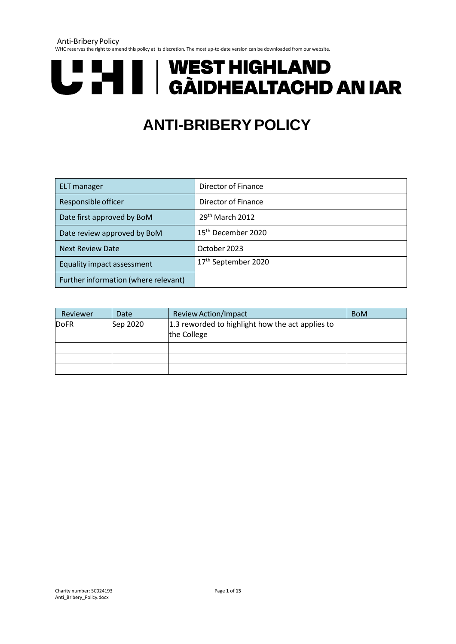Anti-Bribery Policy

WHC reserves the right to amend this policy at its discretion. The most up-to-date version can be downloaded from our website.



# **ANTI-BRIBERYPOLICY**

| ELT manager                          | Director of Finance             |
|--------------------------------------|---------------------------------|
| Responsible officer                  | Director of Finance             |
| Date first approved by BoM           | 29 <sup>th</sup> March 2012     |
| Date review approved by BoM          | 15 <sup>th</sup> December 2020  |
| <b>Next Review Date</b>              | October 2023                    |
| Equality impact assessment           | 17 <sup>th</sup> September 2020 |
| Further information (where relevant) |                                 |

| Reviewer    | Date     | <b>Review Action/Impact</b>                      | <b>BoM</b> |
|-------------|----------|--------------------------------------------------|------------|
| <b>DoFR</b> | Sep 2020 | 1.3 reworded to highlight how the act applies to |            |
|             |          | the College                                      |            |
|             |          |                                                  |            |
|             |          |                                                  |            |
|             |          |                                                  |            |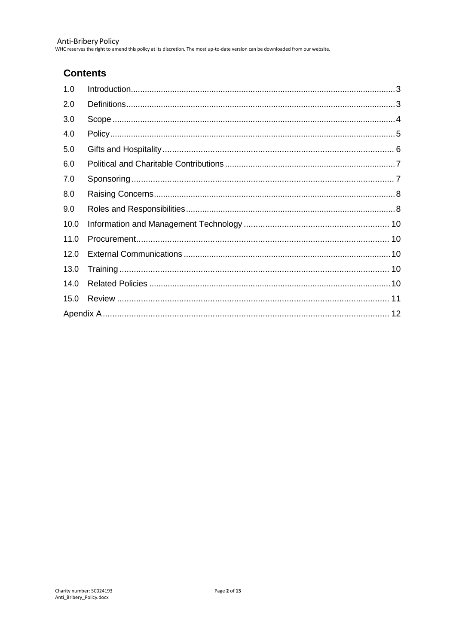Anti-Bribery Policy<br>WHC reserves the right to amend this policy at its discretion. The most up-to-date version can be downloaded from our website.

# **Contents**

| 1.0  |  |
|------|--|
| 2.0  |  |
| 3.0  |  |
| 4.0  |  |
| 5.0  |  |
| 6.0  |  |
| 7.0  |  |
| 8.0  |  |
| 9.0  |  |
| 10.0 |  |
| 11.0 |  |
| 12.0 |  |
| 13.0 |  |
| 14.0 |  |
| 15.0 |  |
|      |  |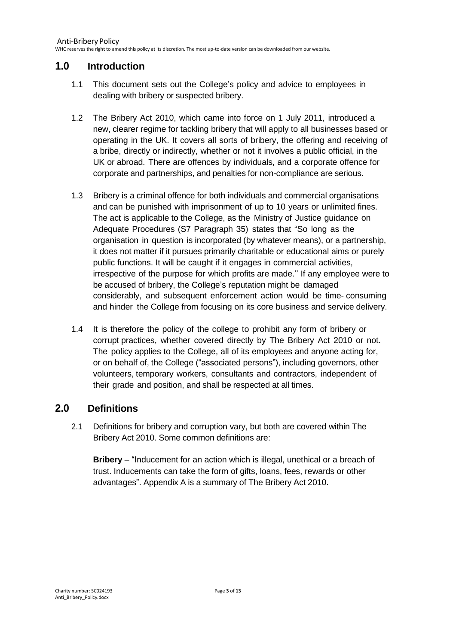# <span id="page-2-0"></span>**1.0 Introduction**

- 1.1 This document sets out the College's policy and advice to employees in dealing with bribery or suspected bribery.
- 1.2 The Bribery Act 2010, which came into force on 1 July 2011, introduced a new, clearer regime for tackling bribery that will apply to all businesses based or operating in the UK. It covers all sorts of bribery, the offering and receiving of a bribe, directly or indirectly, whether or not it involves a public official, in the UK or abroad. There are offences by individuals, and a corporate offence for corporate and partnerships, and penalties for non-compliance are serious.
- 1.3 Bribery is a criminal offence for both individuals and commercial organisations and can be punished with imprisonment of up to 10 years or unlimited fines. The act is applicable to the College, as the Ministry of Justice guidance on Adequate Procedures (S7 Paragraph 35) states that "So long as the organisation in question is incorporated (by whatever means), or a partnership, it does not matter if it pursues primarily charitable or educational aims or purely public functions. It will be caught if it engages in commercial activities, irrespective of the purpose for which profits are made.'' If any employee were to be accused of bribery, the College's reputation might be damaged considerably, and subsequent enforcement action would be time- consuming and hinder the College from focusing on its core business and service delivery.
- 1.4 It is therefore the policy of the college to prohibit any form of bribery or corrupt practices, whether covered directly by The Bribery Act 2010 or not. The policy applies to the College, all of its employees and anyone acting for, or on behalf of, the College ("associated persons"), including governors, other volunteers, temporary workers, consultants and contractors, independent of their grade and position, and shall be respected at all times.

## <span id="page-2-1"></span>**2.0 Definitions**

2.1 Definitions for bribery and corruption vary, but both are covered within The Bribery Act 2010. Some common definitions are:

**Bribery** – "Inducement for an action which is illegal, unethical or a breach of trust. Inducements can take the form of gifts, loans, fees, rewards or other advantages". Appendix A is a summary of The Bribery Act 2010.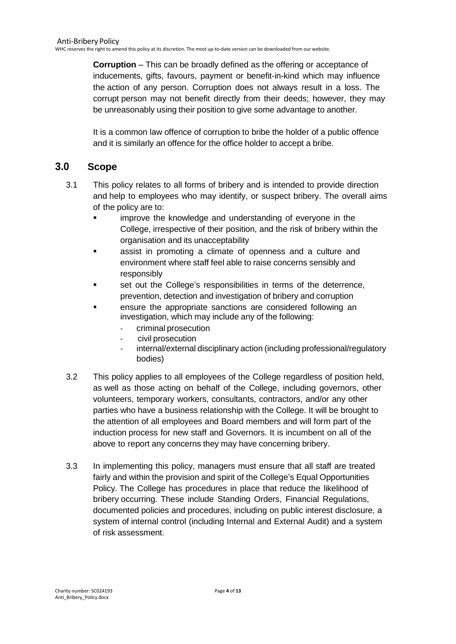**Corruption** – This can be broadly defined as the offering or acceptance of inducements, gifts, favours, payment or benefit-in-kind which may influence the action of any person. Corruption does not always result in a loss. The corrupt person may not benefit directly from their deeds; however, they may be unreasonably using their position to give some advantage to another.

It is a common law offence of corruption to bribe the holder of a public offence and it is similarly an offence for the office holder to accept a bribe.

# <span id="page-3-0"></span>**3.0 Scope**

- 3.1 This policy relates to all forms of bribery and is intended to provide direction and help to employees who may identify, or suspect bribery. The overall aims of the policy are to:
	- improve the knowledge and understanding of everyone in the College, irrespective of their position, and the risk of bribery within the organisation and its unacceptability
	- assist in promoting a climate of openness and a culture and environment where staff feel able to raise concerns sensibly and responsibly
	- set out the College's responsibilities in terms of the deterrence, prevention, detection and investigation of bribery and corruption
	- ensure the appropriate sanctions are considered following an investigation, which may include any of the following:
		- criminal prosecution
		- civil prosecution
		- internal/external disciplinary action (including professional/regulatory bodies)
- 3.2 This policy applies to all employees of the College regardless of position held, as well as those acting on behalf of the College, including governors, other volunteers, temporary workers, consultants, contractors, and/or any other parties who have a business relationship with the College. It will be brought to the attention of all employees and Board members and will form part of the induction process for new staff and Governors. It is incumbent on all of the above to report any concerns they may have concerning bribery.
- 3.3 In implementing this policy, managers must ensure that all staff are treated fairly and within the provision and spirit of the College's Equal Opportunities Policy. The College has procedures in place that reduce the likelihood of bribery occurring. These include Standing Orders, Financial Regulations, documented policies and procedures, including on public interest disclosure, a system of internal control (including Internal and External Audit) and a system of risk assessment.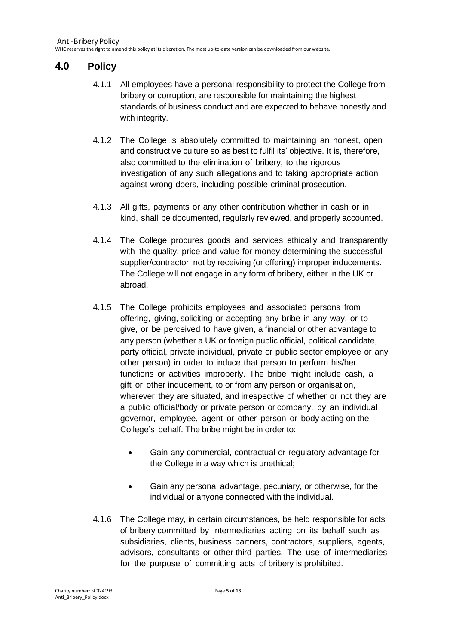# <span id="page-4-0"></span>**4.0 Policy**

- 4.1.1 All employees have a personal responsibility to protect the College from bribery or corruption, are responsible for maintaining the highest standards of business conduct and are expected to behave honestly and with integrity.
- 4.1.2 The College is absolutely committed to maintaining an honest, open and constructive culture so as best to fulfil its' objective. It is, therefore, also committed to the elimination of bribery, to the rigorous investigation of any such allegations and to taking appropriate action against wrong doers, including possible criminal prosecution.
- 4.1.3 All gifts, payments or any other contribution whether in cash or in kind, shall be documented, regularly reviewed, and properly accounted.
- 4.1.4 The College procures goods and services ethically and transparently with the quality, price and value for money determining the successful supplier/contractor, not by receiving (or offering) improper inducements. The College will not engage in any form of bribery, either in the UK or abroad.
- 4.1.5 The College prohibits employees and associated persons from offering, giving, soliciting or accepting any bribe in any way, or to give, or be perceived to have given, a financial or other advantage to any person (whether a UK or foreign public official, political candidate, party official, private individual, private or public sector employee or any other person) in order to induce that person to perform his/her functions or activities improperly. The bribe might include cash, a gift or other inducement, to or from any person or organisation, wherever they are situated, and irrespective of whether or not they are a public official/body or private person or company, by an individual governor, employee, agent or other person or body acting on the College's behalf. The bribe might be in order to:
	- Gain any commercial, contractual or regulatory advantage for the College in a way which is unethical;
	- Gain any personal advantage, pecuniary, or otherwise, for the individual or anyone connected with the individual.
- 4.1.6 The College may, in certain circumstances, be held responsible for acts of bribery committed by intermediaries acting on its behalf such as subsidiaries, clients, business partners, contractors, suppliers, agents, advisors, consultants or other third parties. The use of intermediaries for the purpose of committing acts of bribery is prohibited.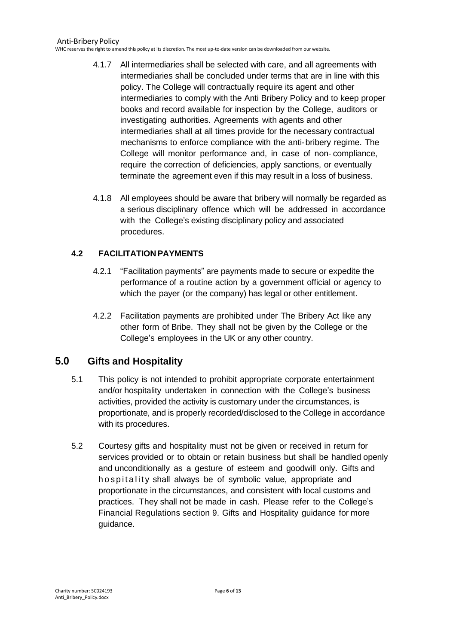WHC reserves the right to amend this policy at its discretion. The most up-to-date version can be downloaded from our website.

- 4.1.7 All intermediaries shall be selected with care, and all agreements with intermediaries shall be concluded under terms that are in line with this policy. The College will contractually require its agent and other intermediaries to comply with the Anti Bribery Policy and to keep proper books and record available for inspection by the College, auditors or investigating authorities. Agreements with agents and other intermediaries shall at all times provide for the necessary contractual mechanisms to enforce compliance with the anti-bribery regime. The College will monitor performance and, in case of non- compliance, require the correction of deficiencies, apply sanctions, or eventually terminate the agreement even if this may result in a loss of business.
- 4.1.8 All employees should be aware that bribery will normally be regarded as a serious disciplinary offence which will be addressed in accordance with the College's existing disciplinary policy and associated procedures.

#### **4.2 FACILITATIONPAYMENTS**

- 4.2.1 "Facilitation payments" are payments made to secure or expedite the performance of a routine action by a government official or agency to which the payer (or the company) has legal or other entitlement.
- 4.2.2 Facilitation payments are prohibited under The Bribery Act like any other form of Bribe. They shall not be given by the College or the College's employees in the UK or any other country.

# <span id="page-5-0"></span>**5.0 Gifts and Hospitality**

- 5.1 This policy is not intended to prohibit appropriate corporate entertainment and/or hospitality undertaken in connection with the College's business activities, provided the activity is customary under the circumstances, is proportionate, and is properly recorded/disclosed to the College in accordance with its procedures.
- 5.2 Courtesy gifts and hospitality must not be given or received in return for services provided or to obtain or retain business but shall be handled openly and unconditionally as a gesture of esteem and goodwill only. Gifts and h o spitality shall always be of symbolic value, appropriate and proportionate in the circumstances, and consistent with local customs and practices. They shall not be made in cash. Please refer to the College's Financial Regulations section 9. Gifts and Hospitality guidance for more guidance.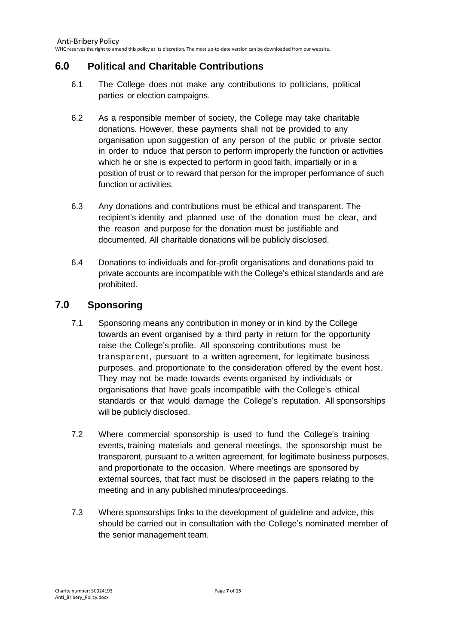# <span id="page-6-0"></span>**6.0 Political and Charitable Contributions**

- 6.1 The College does not make any contributions to politicians, political parties or election campaigns.
- 6.2 As a responsible member of society, the College may take charitable donations. However, these payments shall not be provided to any organisation upon suggestion of any person of the public or private sector in order to induce that person to perform improperly the function or activities which he or she is expected to perform in good faith, impartially or in a position of trust or to reward that person for the improper performance of such function or activities.
- 6.3 Any donations and contributions must be ethical and transparent. The recipient's identity and planned use of the donation must be clear, and the reason and purpose for the donation must be justifiable and documented. All charitable donations will be publicly disclosed.
- 6.4 Donations to individuals and for-profit organisations and donations paid to private accounts are incompatible with the College's ethical standards and are prohibited.

## <span id="page-6-1"></span>**7.0 Sponsoring**

- 7.1 Sponsoring means any contribution in money or in kind by the College towards an event organised by a third party in return for the opportunity raise the College's profile. All sponsoring contributions must be transparent, pursuant to a written agreement, for legitimate business purposes, and proportionate to the consideration offered by the event host. They may not be made towards events organised by individuals or organisations that have goals incompatible with the College's ethical standards or that would damage the College's reputation. All sponsorships will be publicly disclosed.
- 7.2 Where commercial sponsorship is used to fund the College's training events, training materials and general meetings, the sponsorship must be transparent, pursuant to a written agreement, for legitimate business purposes, and proportionate to the occasion. Where meetings are sponsored by external sources, that fact must be disclosed in the papers relating to the meeting and in any published minutes/proceedings.
- 7.3 Where sponsorships links to the development of guideline and advice, this should be carried out in consultation with the College's nominated member of the senior management team.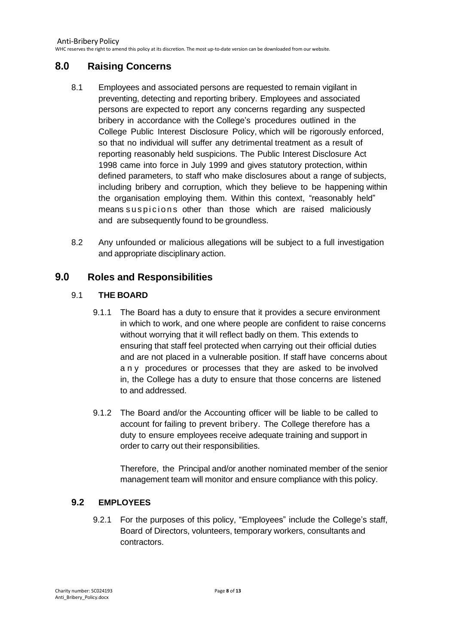# <span id="page-7-0"></span>**8.0 Raising Concerns**

- 8.1 Employees and associated persons are requested to remain vigilant in preventing, detecting and reporting bribery. Employees and associated persons are expected to report any concerns regarding any suspected bribery in accordance with the College's procedures outlined in the College Public Interest Disclosure Policy, which will be rigorously enforced, so that no individual will suffer any detrimental treatment as a result of reporting reasonably held suspicions. The Public Interest Disclosure Act 1998 came into force in July 1999 and gives statutory protection, within defined parameters, to staff who make disclosures about a range of subjects, including bribery and corruption, which they believe to be happening within the organisation employing them. Within this context, "reasonably held" means suspicions other than those which are raised maliciously and are subsequently found to be groundless.
- 8.2 Any unfounded or malicious allegations will be subject to a full investigation and appropriate disciplinary action.

# <span id="page-7-1"></span>**9.0 Roles and Responsibilities**

#### 9.1 **THE BOARD**

- 9.1.1 The Board has a duty to ensure that it provides a secure environment in which to work, and one where people are confident to raise concerns without worrying that it will reflect badly on them. This extends to ensuring that staff feel protected when carrying out their official duties and are not placed in a vulnerable position. If staff have concerns about any procedures or processes that they are asked to be involved in, the College has a duty to ensure that those concerns are listened to and addressed.
- 9.1.2 The Board and/or the Accounting officer will be liable to be called to account for failing to prevent bribery. The College therefore has a duty to ensure employees receive adequate training and support in order to carry out their responsibilities.

Therefore, the Principal and/or another nominated member of the senior management team will monitor and ensure compliance with this policy.

#### **9.2 EMPLOYEES**

9.2.1 For the purposes of this policy, "Employees" include the College's staff, Board of Directors, volunteers, temporary workers, consultants and contractors.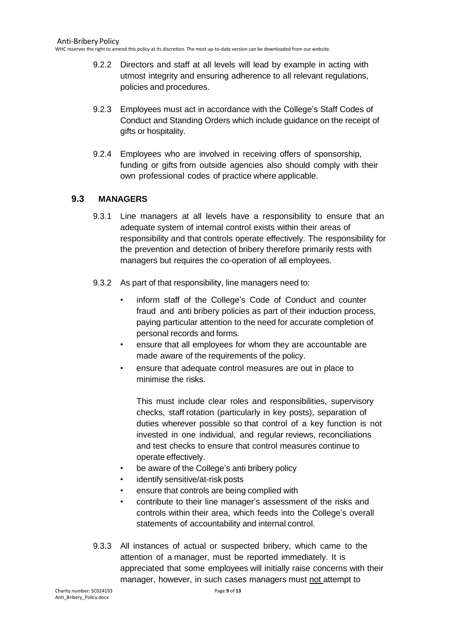WHC reserves the right to amend this policy at its discretion. The most up-to-date version can be downloaded from our website.

- 9.2.2 Directors and staff at all levels will lead by example in acting with utmost integrity and ensuring adherence to all relevant regulations, policies and procedures.
- 9.2.3 Employees must act in accordance with the College's Staff Codes of Conduct and Standing Orders which include guidance on the receipt of gifts or hospitality.
- 9.2.4 Employees who are involved in receiving offers of sponsorship, funding or gifts from outside agencies also should comply with their own professional codes of practice where applicable.

#### **9.3 MANAGERS**

- 9.3.1 Line managers at all levels have a responsibility to ensure that an adequate system of internal control exists within their areas of responsibility and that controls operate effectively. The responsibility for the prevention and detection of bribery therefore primarily rests with managers but requires the co-operation of all employees.
- 9.3.2 As part of that responsibility, line managers need to:
	- inform staff of the College's Code of Conduct and counter fraud and anti bribery policies as part of their induction process, paying particular attention to the need for accurate completion of personal records and forms.
	- ensure that all employees for whom they are accountable are made aware of the requirements of the policy.
	- ensure that adequate control measures are out in place to minimise the risks.

This must include clear roles and responsibilities, supervisory checks, staff rotation (particularly in key posts), separation of duties wherever possible so that control of a key function is not invested in one individual, and regular reviews, reconciliations and test checks to ensure that control measures continue to operate effectively.

- be aware of the College's anti bribery policy
- identify sensitive/at-risk posts
- ensure that controls are being complied with
- contribute to their line manager's assessment of the risks and controls within their area, which feeds into the College's overall statements of accountability and internal control.
- 9.3.3 All instances of actual or suspected bribery, which came to the attention of a manager, must be reported immediately. It is appreciated that some employees will initially raise concerns with their manager, however, in such cases managers must not attempt to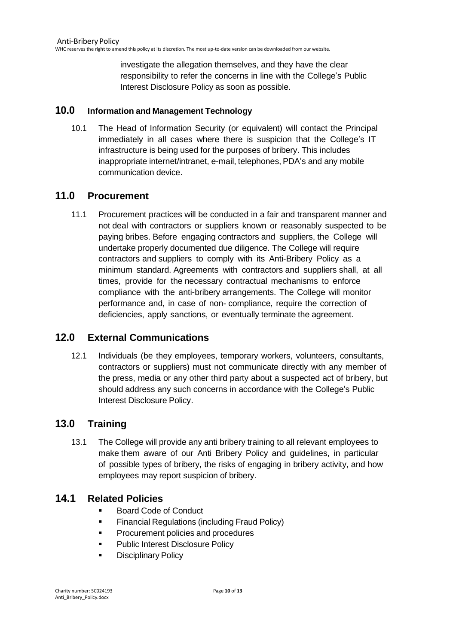investigate the allegation themselves, and they have the clear responsibility to refer the concerns in line with the College's Public Interest Disclosure Policy as soon as possible.

#### <span id="page-9-0"></span>**10.0 Information and Management Technology**

10.1 The Head of Information Security (or equivalent) will contact the Principal immediately in all cases where there is suspicion that the College's IT infrastructure is being used for the purposes of bribery. This includes inappropriate internet/intranet, e-mail, telephones, PDA's and any mobile communication device.

## <span id="page-9-1"></span>**11.0 Procurement**

11.1 Procurement practices will be conducted in a fair and transparent manner and not deal with contractors or suppliers known or reasonably suspected to be paying bribes. Before engaging contractors and suppliers, the College will undertake properly documented due diligence. The College will require contractors and suppliers to comply with its Anti-Bribery Policy as a minimum standard. Agreements with contractors and suppliers shall, at all times, provide for the necessary contractual mechanisms to enforce compliance with the anti-bribery arrangements. The College will monitor performance and, in case of non- compliance, require the correction of deficiencies, apply sanctions, or eventually terminate the agreement.

# <span id="page-9-2"></span>**12.0 External Communications**

12.1 Individuals (be they employees, temporary workers, volunteers, consultants, contractors or suppliers) must not communicate directly with any member of the press, media or any other third party about a suspected act of bribery, but should address any such concerns in accordance with the College's Public Interest Disclosure Policy.

## <span id="page-9-3"></span>**13.0 Training**

13.1 The College will provide any anti bribery training to all relevant employees to make them aware of our Anti Bribery Policy and guidelines, in particular of possible types of bribery, the risks of engaging in bribery activity, and how employees may report suspicion of bribery.

## <span id="page-9-4"></span>**14.1 Related Policies**

- Board Code of Conduct
- **•** Financial Regulations (including Fraud Policy)
- Procurement policies and procedures
- **Public Interest Disclosure Policy**
- Disciplinary Policy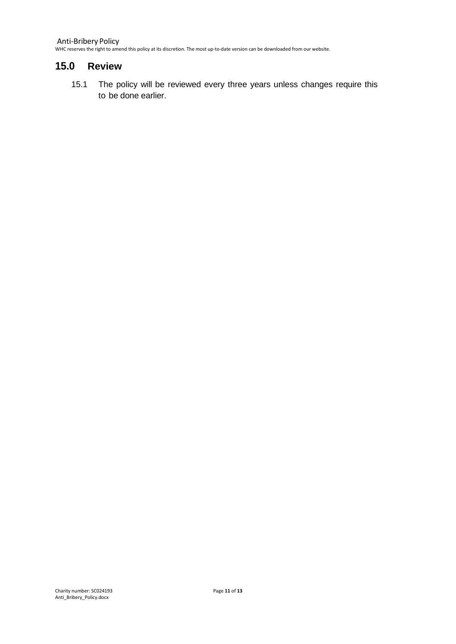Anti-Bribery Policy WHC reserves the right to amend this policy at its discretion. The most up-to-date version can be downloaded from our website.

#### <span id="page-10-0"></span>**15.0 Review**

15.1 The policy will be reviewed every three years unless changes require this to be done earlier.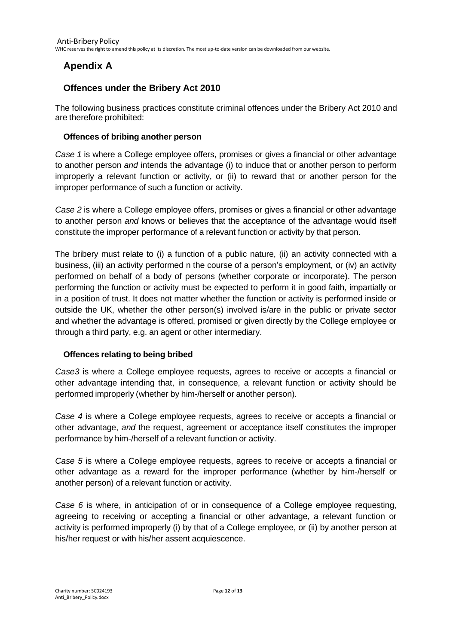# <span id="page-11-0"></span>**Apendix A**

# **Offences under the Bribery Act 2010**

The following business practices constitute criminal offences under the Bribery Act 2010 and are therefore prohibited:

#### **Offences of bribing another person**

*Case 1* is where a College employee offers, promises or gives a financial or other advantage to another person *and* intends the advantage (i) to induce that or another person to perform improperly a relevant function or activity, or (ii) to reward that or another person for the improper performance of such a function or activity.

*Case 2* is where a College employee offers, promises or gives a financial or other advantage to another person *and* knows or believes that the acceptance of the advantage would itself constitute the improper performance of a relevant function or activity by that person.

The bribery must relate to (i) a function of a public nature, (ii) an activity connected with a business, (iii) an activity performed n the course of a person's employment, or (iv) an activity performed on behalf of a body of persons (whether corporate or incorporate). The person performing the function or activity must be expected to perform it in good faith, impartially or in a position of trust. It does not matter whether the function or activity is performed inside or outside the UK, whether the other person(s) involved is/are in the public or private sector and whether the advantage is offered, promised or given directly by the College employee or through a third party, e.g. an agent or other intermediary.

#### **Offences relating to being bribed**

*Case3* is where a College employee requests, agrees to receive or accepts a financial or other advantage intending that, in consequence, a relevant function or activity should be performed improperly (whether by him-/herself or another person).

*Case 4* is where a College employee requests, agrees to receive or accepts a financial or other advantage, *and* the request, agreement or acceptance itself constitutes the improper performance by him-/herself of a relevant function or activity.

*Case 5* is where a College employee requests, agrees to receive or accepts a financial or other advantage as a reward for the improper performance (whether by him-/herself or another person) of a relevant function or activity.

*Case 6* is where, in anticipation of or in consequence of a College employee requesting, agreeing to receiving or accepting a financial or other advantage, a relevant function or activity is performed improperly (i) by that of a College employee, or (ii) by another person at his/her request or with his/her assent acquiescence.